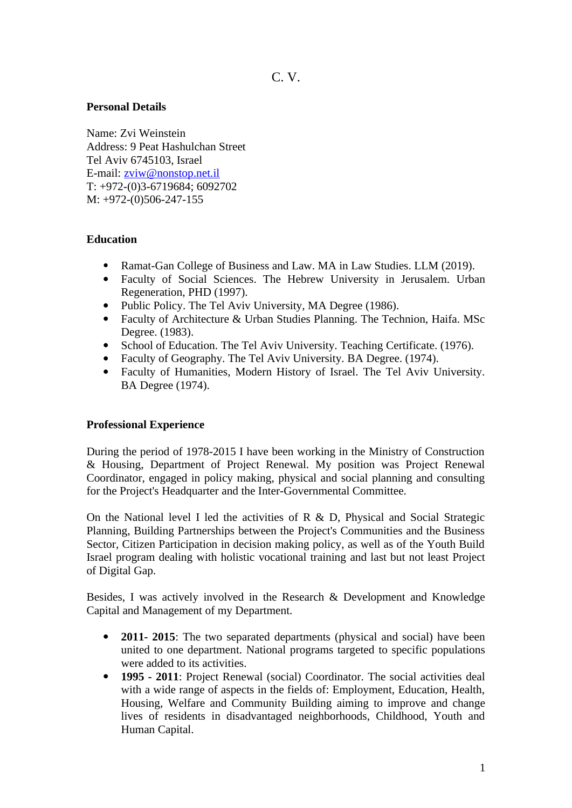#### **Personal Details**

Name: Zvi Weinstein Address: 9 Peat Hashulchan Street Tel Aviv 6745103, Israel E-mail: [zviw@nonstop.net.il](mailto:zviw@nonstop.net.il)  T: +972-(0)3-6719684; 6092702 M: +972-(0)506-247-155

## **Education**

- Ramat-Gan College of Business and Law. MA in Law Studies. LLM (2019).
- Faculty of Social Sciences. The Hebrew University in Jerusalem. Urban Regeneration, PHD (1997).
- Public Policy. The Tel Aviv University, MA Degree (1986).
- Faculty of Architecture & Urban Studies Planning. The Technion, Haifa. MSc Degree. (1983).
- School of Education. The Tel Aviv University. Teaching Certificate. (1976).
- Faculty of Geography. The Tel Aviv University. BA Degree. (1974).
- Faculty of Humanities, Modern History of Israel. The Tel Aviv University. BA Degree (1974).

## **Professional Experience**

During the period of 1978-2015 I have been working in the Ministry of Construction & Housing, Department of Project Renewal. My position was Project Renewal Coordinator, engaged in policy making, physical and social planning and consulting for the Project's Headquarter and the Inter-Governmental Committee.

On the National level I led the activities of R & D, Physical and Social Strategic Planning, Building Partnerships between the Project's Communities and the Business Sector, Citizen Participation in decision making policy, as well as of the Youth Build Israel program dealing with holistic vocational training and last but not least Project of Digital Gap.

Besides, I was actively involved in the Research & Development and Knowledge Capital and Management of my Department.

- **2011- 2015**: The two separated departments (physical and social) have been united to one department. National programs targeted to specific populations were added to its activities.
- **1995 2011**: Project Renewal (social) Coordinator. The social activities deal with a wide range of aspects in the fields of: Employment, Education, Health, Housing, Welfare and Community Building aiming to improve and change lives of residents in disadvantaged neighborhoods, Childhood, Youth and Human Capital.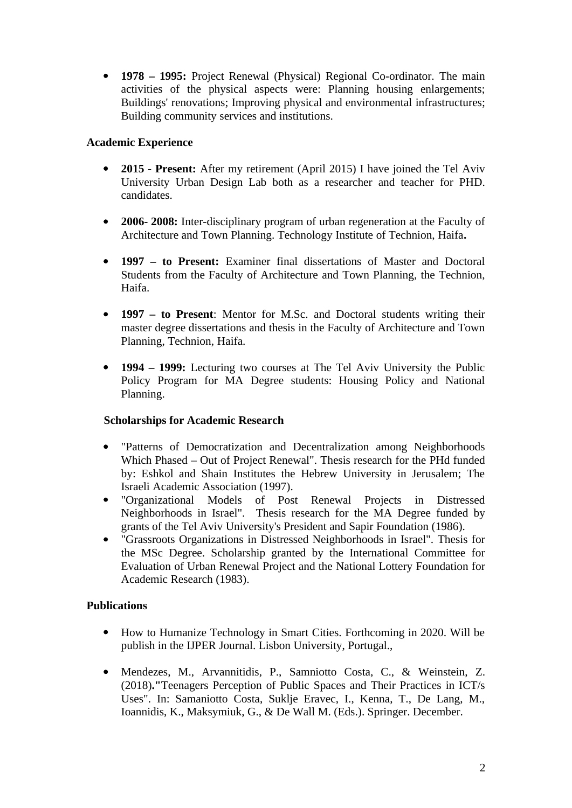**1978 – 1995:** Project Renewal (Physical) Regional Co-ordinator. The main activities of the physical aspects were: Planning housing enlargements; Buildings' renovations; Improving physical and environmental infrastructures; Building community services and institutions.

# **Academic Experience**

- **2015 Present:** After my retirement (April 2015) I have joined the Tel Aviv University Urban Design Lab both as a researcher and teacher for PHD. candidates.
- **2006- 2008:** Inter-disciplinary program of urban regeneration at the Faculty of Architecture and Town Planning. Technology Institute of Technion, Haifa**.**
- **1997 to Present:** Examiner final dissertations of Master and Doctoral Students from the Faculty of Architecture and Town Planning, the Technion, Haifa.
- **1997 – to Present**: Mentor for M.Sc. and Doctoral students writing their master degree dissertations and thesis in the Faculty of Architecture and Town Planning, Technion, Haifa.
- **1994 1999:** Lecturing two courses at The Tel Aviv University the Public Policy Program for MA Degree students: Housing Policy and National Planning.

## **Scholarships for Academic Research**

- "Patterns of Democratization and Decentralization among Neighborhoods Which Phased – Out of Project Renewal". Thesis research for the PHd funded by: Eshkol and Shain Institutes the Hebrew University in Jerusalem; The Israeli Academic Association (1997).
- "Organizational Models of Post Renewal Projects in Distressed Neighborhoods in Israel". Thesis research for the MA Degree funded by grants of the Tel Aviv University's President and Sapir Foundation (1986).
- "Grassroots Organizations in Distressed Neighborhoods in Israel". Thesis for the MSc Degree. Scholarship granted by the International Committee for Evaluation of Urban Renewal Project and the National Lottery Foundation for Academic Research (1983).

## **Publications**

- How to Humanize Technology in Smart Cities. Forthcoming in 2020. Will be publish in the IJPER Journal. Lisbon University, Portugal.,
- Mendezes, M., Arvannitidis, P., Samniotto Costa, C., & Weinstein, Z. (2018)**."**Teenagers Perception of Public Spaces and Their Practices in ICT/s Uses". In: Samaniotto Costa, Suklje Eravec, I., Kenna, T., De Lang, M., Ioannidis, K., Maksymiuk, G., & De Wall M. (Eds.). Springer. December.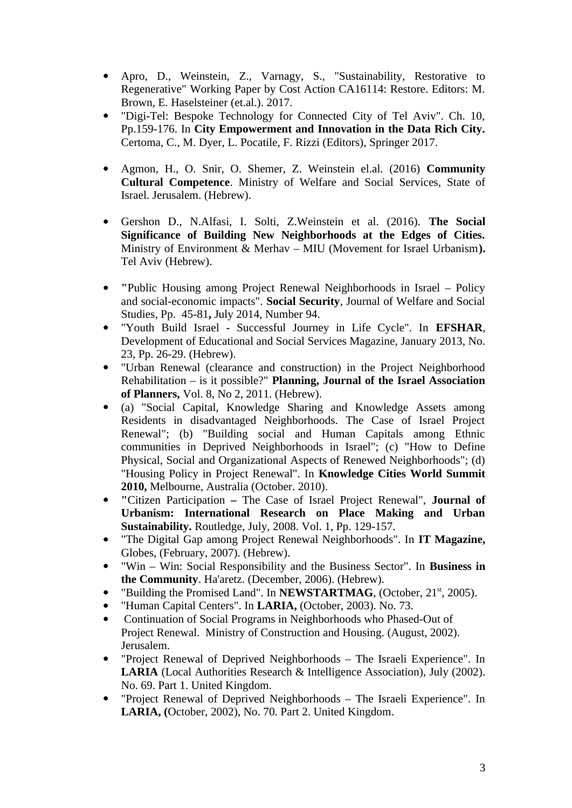- Apro, D., Weinstein, Z., Varnagy, S., "Sustainability, Restorative to Regenerative" Working Paper by Cost Action CA16114: Restore. Editors: M. Brown, E. Haselsteiner (et.al.). 2017.
- "Digi-Tel: Bespoke Technology for Connected City of Tel Aviv". Ch. 10, Pp.159-176. In **City Empowerment and Innovation in the Data Rich City.** Certoma, C., M. Dyer, L. Pocatile, F. Rizzi (Editors), Springer 2017.
- Agmon, H., O. Snir, O. Shemer, Z. Weinstein el.al. (2016) **Community Cultural Competence**. Ministry of Welfare and Social Services, State of Israel. Jerusalem. (Hebrew).
- Gershon D., N.Alfasi, I. Solti, Z.Weinstein et al. (2016). **The Social Significance of Building New Neighborhoods at the Edges of Cities.** Ministry of Environment & Merhav – MIU (Movement for Israel Urbanism**).** Tel Aviv (Hebrew).
- **"**Public Housing among Project Renewal Neighborhoods in Israel Policy and social-economic impacts". **Social Security**, Journal of Welfare and Social Studies, Pp. 45-81**,** July 2014, Number 94.
- "Youth Build Israel Successful Journey in Life Cycle". In **EFSHAR**, Development of Educational and Social Services Magazine, January 2013, No. 23, Pp. 26-29. (Hebrew).
- "Urban Renewal (clearance and construction) in the Project Neighborhood Rehabilitation – is it possible?" **Planning, Journal of the Israel Association of Planners,** Vol. 8, No 2, 2011. (Hebrew).
- (a) "Social Capital, Knowledge Sharing and Knowledge Assets among Residents in disadvantaged Neighborhoods. The Case of Israel Project Renewal"; (b) "Building social and Human Capitals among Ethnic communities in Deprived Neighborhoods in Israel"; (c) "How to Define Physical, Social and Organizational Aspects of Renewed Neighborhoods"; (d) "Housing Policy in Project Renewal". In **Knowledge Cities World Summit 2010,** Melbourne, Australia (October. 2010).
- **"**Citizen ParticipationThe Case of Israel Project Renewal", **Journal of Urbanism: International Research on Place Making and Urban Sustainability.** Routledge, July, 2008. Vol. 1, Pp. 129-157.
- "The Digital Gap among Project Renewal Neighborhoods". In **IT Magazine,** Globes, (February, 2007). (Hebrew).
- "Win Win: Social Responsibility and the Business Sector". In **Business in the Community**. Ha'aretz. (December, 2006). (Hebrew).
- "Building the Promised Land". In **NEWSTARTMAG**, (October, 21<sup>st</sup>, 2005).
- "Human Capital Centers". In **LARIA,** (October, 2003). No. 73.
- Continuation of Social Programs in Neighborhoods who Phased-Out of Project Renewal. Ministry of Construction and Housing. (August, 2002). Jerusalem.
- "Project Renewal of Deprived Neighborhoods The Israeli Experience". In **LARIA** (Local Authorities Research & Intelligence Association), July (2002). No. 69. Part 1. United Kingdom.
- "Project Renewal of Deprived Neighborhoods The Israeli Experience". In **LARIA, (**October, 2002), No. 70. Part 2. United Kingdom.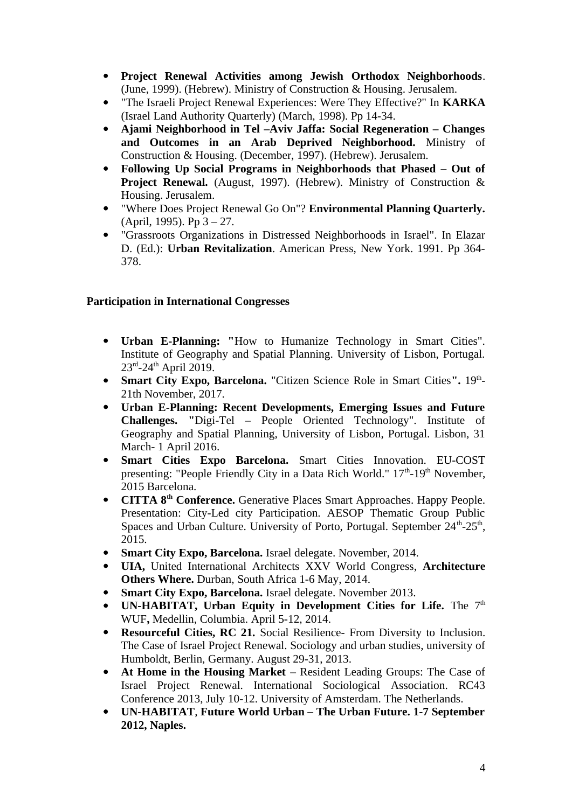- **Project Renewal Activities among Jewish Orthodox Neighborhoods**. (June, 1999). (Hebrew). Ministry of Construction & Housing. Jerusalem.
- "The Israeli Project Renewal Experiences: Were They Effective?" In **KARKA** (Israel Land Authority Quarterly) (March, 1998). Pp 14-34.
- **Ajami Neighborhood in Tel –Aviv Jaffa: Social Regeneration Changes and Outcomes in an Arab Deprived Neighborhood.** Ministry of Construction & Housing. (December, 1997). (Hebrew). Jerusalem.
- **Following Up Social Programs in Neighborhoods that Phased Out of Project Renewal.** (August, 1997). (Hebrew). Ministry of Construction & Housing. Jerusalem.
- "Where Does Project Renewal Go On"? **Environmental Planning Quarterly.** (April, 1995). Pp 3 – 27.
- "Grassroots Organizations in Distressed Neighborhoods in Israel". In Elazar D. (Ed.): **Urban Revitalization**. American Press, New York. 1991. Pp 364- 378.

## **Participation in International Congresses**

- **Urban E-Planning: "**How to Humanize Technology in Smart Cities". Institute of Geography and Spatial Planning. University of Lisbon, Portugal. 23rd-24th April 2019.
- **Smart City Expo, Barcelona.** "Citizen Science Role in Smart Cities". 19<sup>th</sup>-21th November, 2017.
- **Urban E-Planning: Recent Developments, Emerging Issues and Future Challenges. "**Digi-Tel – People Oriented Technology". Institute of Geography and Spatial Planning, University of Lisbon, Portugal. Lisbon, 31 March- 1 April 2016.
- **Smart Cities Expo Barcelona.** Smart Cities Innovation. EU-COST presenting: "People Friendly City in a Data Rich World." 17<sup>th</sup>-19<sup>th</sup> November, 2015 Barcelona.
- **CITTA 8th Conference.** Generative Places Smart Approaches. Happy People. Presentation: City-Led city Participation. AESOP Thematic Group Public Spaces and Urban Culture. University of Porto, Portugal. September  $24<sup>th</sup>$ -25<sup>th</sup>, 2015.
- **Smart City Expo, Barcelona.** Israel delegate. November, 2014.
- **UIA,** United International Architects XXV World Congress, **Architecture Others Where.** Durban, South Africa 1-6 May, 2014.
- **Smart City Expo, Barcelona.** Israel delegate. November 2013.
- **UN-HABITAT, Urban Equity in Development Cities for Life.** The 7<sup>th</sup> WUF**,** Medellin, Columbia. April 5-12, 2014.
- **Resourceful Cities, RC 21.** Social Resilience- From Diversity to Inclusion. The Case of Israel Project Renewal. Sociology and urban studies, university of Humboldt, Berlin, Germany. August 29-31, 2013.
- **At Home in the Housing Market** Resident Leading Groups: The Case of Israel Project Renewal. International Sociological Association. RC43 Conference 2013, July 10-12. University of Amsterdam. The Netherlands.
- **UN-HABITAT**, **Future World Urban The Urban Future. 1-7 September 2012, Naples.**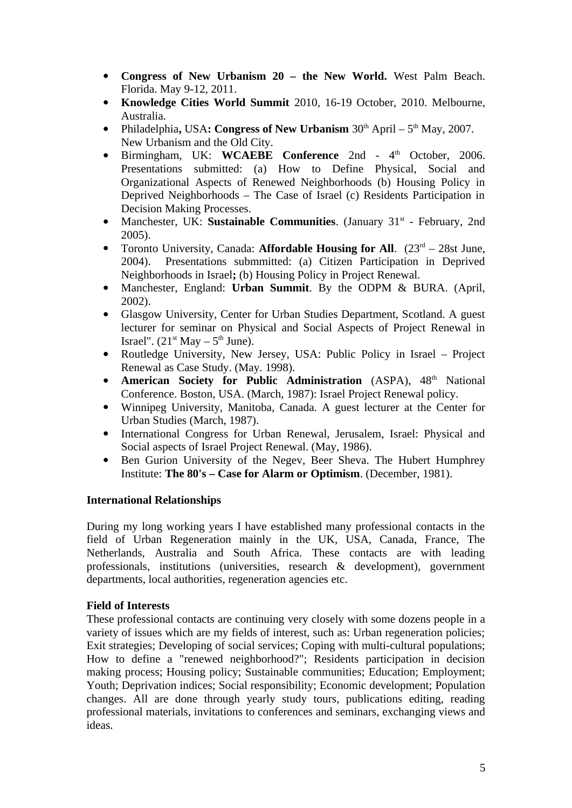- **Congress of New Urbanism 20 the New World.** West Palm Beach. Florida. May 9-12, 2011.
- **Knowledge Cities World Summit** 2010, 16-19 October, 2010. Melbourne, Australia.
- Philadelphia, USA: Congress of New Urbanism  $30<sup>th</sup>$  April 5<sup>th</sup> May, 2007. New Urbanism and the Old City.
- **•** Birmingham, UK: **WCAEBE Conference** 2nd 4<sup>th</sup> October, 2006. Presentations submitted: (a) How to Define Physical, Social and Organizational Aspects of Renewed Neighborhoods (b) Housing Policy in Deprived Neighborhoods – The Case of Israel (c) Residents Participation in Decision Making Processes.
- Manchester, UK: Sustainable Communities. (January 31<sup>st</sup> February, 2nd 2005).
- Toronto University, Canada: **Affordable Housing for All.** (23<sup>rd</sup> 28st June, 2004). Presentations submmitted: (a) Citizen Participation in Deprived Neighborhoods in Israel**;** (b) Housing Policy in Project Renewal.
- Manchester, England: **Urban Summit**. By the ODPM & BURA. (April, 2002).
- Glasgow University, Center for Urban Studies Department, Scotland. A guest lecturer for seminar on Physical and Social Aspects of Project Renewal in Israel".  $(21^{st}$  May  $-5^{th}$  June).
- Routledge University, New Jersey, USA: Public Policy in Israel Project Renewal as Case Study. (May. 1998).
- **American Society for Public Administration** (ASPA), 48<sup>th</sup> National Conference. Boston, USA. (March, 1987): Israel Project Renewal policy.
- Winnipeg University, Manitoba, Canada. A guest lecturer at the Center for Urban Studies (March, 1987).
- International Congress for Urban Renewal, Jerusalem, Israel: Physical and Social aspects of Israel Project Renewal. (May, 1986).
- Ben Gurion University of the Negev, Beer Sheva. The Hubert Humphrey Institute: **The 80's – Case for Alarm or Optimism**. (December, 1981).

## **International Relationships**

During my long working years I have established many professional contacts in the field of Urban Regeneration mainly in the UK, USA, Canada, France, The Netherlands, Australia and South Africa. These contacts are with leading professionals, institutions (universities, research & development), government departments, local authorities, regeneration agencies etc.

## **Field of Interests**

These professional contacts are continuing very closely with some dozens people in a variety of issues which are my fields of interest, such as: Urban regeneration policies; Exit strategies; Developing of social services; Coping with multi-cultural populations; How to define a "renewed neighborhood?"; Residents participation in decision making process; Housing policy; Sustainable communities; Education; Employment; Youth; Deprivation indices; Social responsibility; Economic development; Population changes. All are done through yearly study tours, publications editing, reading professional materials, invitations to conferences and seminars, exchanging views and ideas.